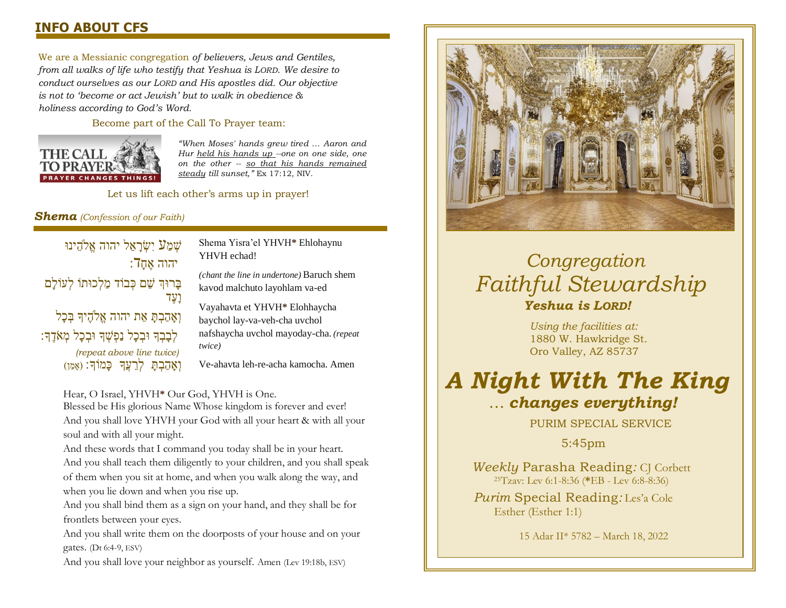### **INFO ABOUT CFS**

We are a Messianic congregation *of believers, Jews and Gentiles, from all walks of life who testify that Yeshua is LORD. We desire to conduct ourselves as our LORD and His apostles did. Our objective is not to 'become or act Jewish' but to walk in obedience & holiness according to God's Word.* 

Become part of the Call To Prayer team:



*"When Moses' hands grew tired … Aaron and Hur held his hands up --one on one side, one on the other -- so that his hands remained steady till sunset,"* Ex 17:12, NIV.

Let us lift each other's arms up in prayer!

### *Shema (Confession of our Faith)*

שְׁמַע יִשְׂרַאֵל יהוה אֱלֹהֵינוּ  $\overline{\phantom{a}}$ יהוה אֵח בָרוּךְ שֵׁם כְּבוֹד מַלְכוּתוֹ לְעוֹלַם וָעֶדַ וְאָהַבְתָּ אֵת יהוה אֱלֹהֶיִךָּ בְּכָל לְּבָבְךָ וּבְכַל נַפְשָׁךָ וּבְכַל מְאֹדֶךָ: *(repeat above line twice)*  וְאָהַבְתַּ לְרֵעֲךְ כַּמֹוֹךָ: (אָמֵן)

Shema Yisra'el YHVH**\*** Ehlohaynu YHVH echad!

*(chant the line in undertone)* Baruch shem kavod malchuto layohlam va-ed

Vayahavta et YHVH**\*** Elohhaycha baychol lay-va-veh-cha uvchol nafshaycha uvchol mayoday-cha. *(repeat twice)*

Ve-ahavta leh-re-acha kamocha. Amen

### Hear, O Israel, YHVH**\*** Our God, YHVH is One.

Blessed be His glorious Name Whose kingdom is forever and ever! And you shall love YHVH your God with all your heart & with all your soul and with all your might.

And these words that I command you today shall be in your heart. And you shall teach them diligently to your children, and you shall speak of them when you sit at home, and when you walk along the way, and when you lie down and when you rise up.

And you shall bind them as a sign on your hand, and they shall be for frontlets between your eyes.

And you shall write them on the doorposts of your house and on your  $\frac{1}{2}$ gates. (Dt 6:4-9, ESV)

where  $\frac{1}{\sqrt{2}}$  is the stewardship of  $\frac{1}{\sqrt{2}}$  is the stewardship. And you shall love your neighbor as yourself. Amen (Lev 19:18b, ESV)



## *Congregation Faithful Stewardship Yeshua is LORD!*

*Using the facilities at:* 1880 W. Hawkridge St. Oro Valley, AZ 85737

# *A Night With The King* … *changes everything!*

PURIM SPECIAL SERVICE

5:45pm

*Weekly* Parasha Reading: CJ Corbett <sup>25</sup>Tzav: Lev 6:1-8:36 (**\***EB - Lev 6:8-8:36)

*Purim* Special Reading*:* Les'a Cole Esther (Esther 1:1)

15 Adar II\* 5782 – March 18, 2022